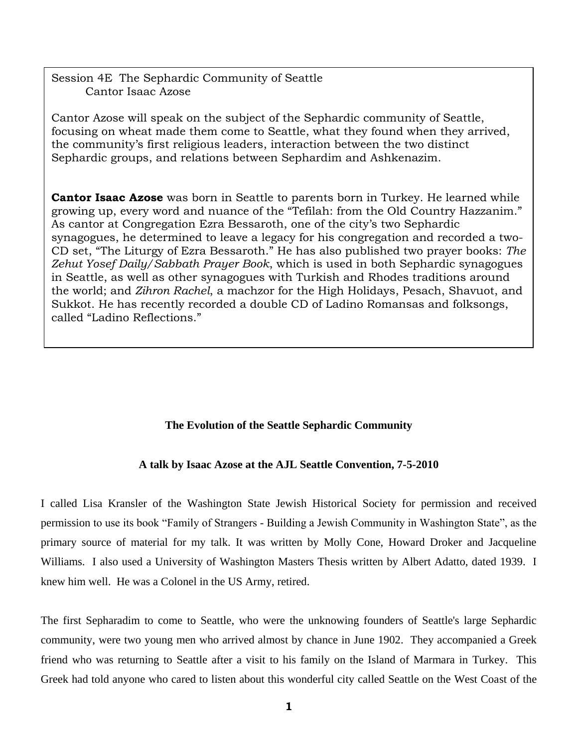Session 4E The Sephardic Community of Seattle Cantor Isaac Azose

Cantor Azose will speak on the subject of the Sephardic community of Seattle, focusing on wheat made them come to Seattle, what they found when they arrived, the community's first religious leaders, interaction between the two distinct Sephardic groups, and relations between Sephardim and Ashkenazim.

**Cantor Isaac Azose** was born in Seattle to parents born in Turkey. He learned while growing up, every word and nuance of the "Tefilah: from the Old Country Hazzanim." As cantor at Congregation Ezra Bessaroth, one of the city's two Sephardic synagogues, he determined to leave a legacy for his congregation and recorded a two-CD set, "The Liturgy of Ezra Bessaroth." He has also published two prayer books: *The Zehut Yosef Daily/Sabbath Prayer Book*, which is used in both Sephardic synagogues in Seattle, as well as other synagogues with Turkish and Rhodes traditions around the world; and *Zihron Rachel*, a machzor for the High Holidays, Pesach, Shavuot, and Sukkot. He has recently recorded a double CD of Ladino Romansas and folksongs, called "Ladino Reflections."

# **The Evolution of the Seattle Sephardic Community**

# **A talk by Isaac Azose at the AJL Seattle Convention, 7-5-2010**

I called Lisa Kransler of the Washington State Jewish Historical Society for permission and received permission to use its book "Family of Strangers - Building a Jewish Community in Washington State", as the primary source of material for my talk. It was written by Molly Cone, Howard Droker and Jacqueline Williams. I also used a University of Washington Masters Thesis written by Albert Adatto, dated 1939. I knew him well. He was a Colonel in the US Army, retired.

The first Sepharadim to come to Seattle, who were the unknowing founders of Seattle's large Sephardic community, were two young men who arrived almost by chance in June 1902. They accompanied a Greek friend who was returning to Seattle after a visit to his family on the Island of Marmara in Turkey. This Greek had told anyone who cared to listen about this wonderful city called Seattle on the West Coast of the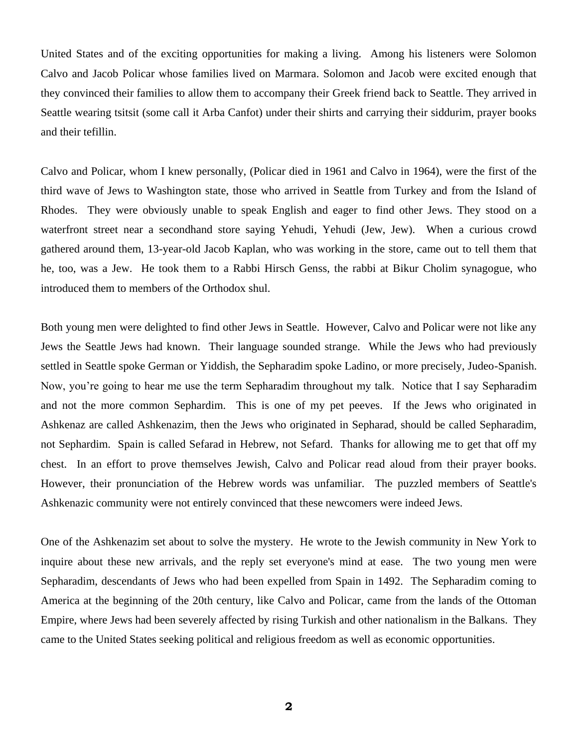United States and of the exciting opportunities for making a living. Among his listeners were Solomon Calvo and Jacob Policar whose families lived on Marmara. Solomon and Jacob were excited enough that they convinced their families to allow them to accompany their Greek friend back to Seattle. They arrived in Seattle wearing tsitsit (some call it Arba Canfot) under their shirts and carrying their siddurim, prayer books and their tefillin.

Calvo and Policar, whom I knew personally, (Policar died in 1961 and Calvo in 1964), were the first of the third wave of Jews to Washington state, those who arrived in Seattle from Turkey and from the Island of Rhodes. They were obviously unable to speak English and eager to find other Jews. They stood on a waterfront street near a secondhand store saying Yehudi, Yehudi (Jew, Jew). When a curious crowd gathered around them, 13-year-old Jacob Kaplan, who was working in the store, came out to tell them that he, too, was a Jew. He took them to a Rabbi Hirsch Genss, the rabbi at Bikur Cholim synagogue, who introduced them to members of the Orthodox shul.

Both young men were delighted to find other Jews in Seattle. However, Calvo and Policar were not like any Jews the Seattle Jews had known. Their language sounded strange. While the Jews who had previously settled in Seattle spoke German or Yiddish, the Sepharadim spoke Ladino, or more precisely, Judeo-Spanish. Now, you"re going to hear me use the term Sepharadim throughout my talk. Notice that I say Sepharadim and not the more common Sephardim. This is one of my pet peeves. If the Jews who originated in Ashkenaz are called Ashkenazim, then the Jews who originated in Sepharad, should be called Sepharadim, not Sephardim. Spain is called Sefarad in Hebrew, not Sefard. Thanks for allowing me to get that off my chest. In an effort to prove themselves Jewish, Calvo and Policar read aloud from their prayer books. However, their pronunciation of the Hebrew words was unfamiliar. The puzzled members of Seattle's Ashkenazic community were not entirely convinced that these newcomers were indeed Jews.

One of the Ashkenazim set about to solve the mystery. He wrote to the Jewish community in New York to inquire about these new arrivals, and the reply set everyone's mind at ease. The two young men were Sepharadim, descendants of Jews who had been expelled from Spain in 1492. The Sepharadim coming to America at the beginning of the 20th century, like Calvo and Policar, came from the lands of the Ottoman Empire, where Jews had been severely affected by rising Turkish and other nationalism in the Balkans. They came to the United States seeking political and religious freedom as well as economic opportunities.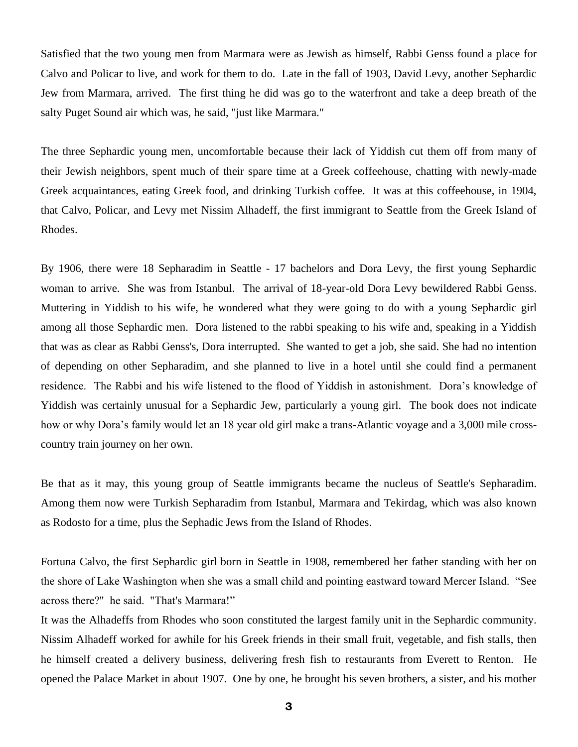Satisfied that the two young men from Marmara were as Jewish as himself, Rabbi Genss found a place for Calvo and Policar to live, and work for them to do. Late in the fall of 1903, David Levy, another Sephardic Jew from Marmara, arrived. The first thing he did was go to the waterfront and take a deep breath of the salty Puget Sound air which was, he said, "just like Marmara."

The three Sephardic young men, uncomfortable because their lack of Yiddish cut them off from many of their Jewish neighbors, spent much of their spare time at a Greek coffeehouse, chatting with newly-made Greek acquaintances, eating Greek food, and drinking Turkish coffee. It was at this coffeehouse, in 1904, that Calvo, Policar, and Levy met Nissim Alhadeff, the first immigrant to Seattle from the Greek Island of Rhodes.

By 1906, there were 18 Sepharadim in Seattle - 17 bachelors and Dora Levy, the first young Sephardic woman to arrive. She was from Istanbul. The arrival of 18-year-old Dora Levy bewildered Rabbi Genss. Muttering in Yiddish to his wife, he wondered what they were going to do with a young Sephardic girl among all those Sephardic men. Dora listened to the rabbi speaking to his wife and, speaking in a Yiddish that was as clear as Rabbi Genss's, Dora interrupted. She wanted to get a job, she said. She had no intention of depending on other Sepharadim, and she planned to live in a hotel until she could find a permanent residence. The Rabbi and his wife listened to the flood of Yiddish in astonishment. Dora"s knowledge of Yiddish was certainly unusual for a Sephardic Jew, particularly a young girl. The book does not indicate how or why Dora's family would let an 18 year old girl make a trans-Atlantic voyage and a 3,000 mile crosscountry train journey on her own.

Be that as it may, this young group of Seattle immigrants became the nucleus of Seattle's Sepharadim. Among them now were Turkish Sepharadim from Istanbul, Marmara and Tekirdag, which was also known as Rodosto for a time, plus the Sephadic Jews from the Island of Rhodes.

Fortuna Calvo, the first Sephardic girl born in Seattle in 1908, remembered her father standing with her on the shore of Lake Washington when she was a small child and pointing eastward toward Mercer Island. "See across there?" he said. "That's Marmara!"

It was the Alhadeffs from Rhodes who soon constituted the largest family unit in the Sephardic community. Nissim Alhadeff worked for awhile for his Greek friends in their small fruit, vegetable, and fish stalls, then he himself created a delivery business, delivering fresh fish to restaurants from Everett to Renton. He opened the Palace Market in about 1907. One by one, he brought his seven brothers, a sister, and his mother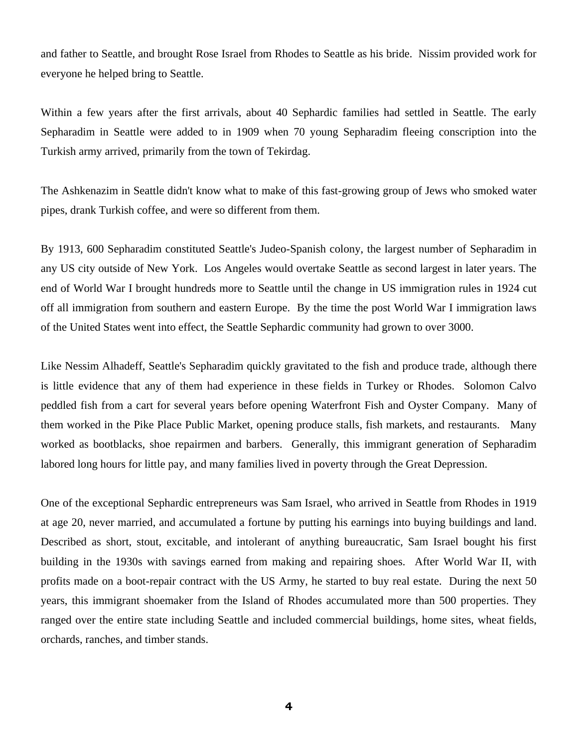and father to Seattle, and brought Rose Israel from Rhodes to Seattle as his bride. Nissim provided work for everyone he helped bring to Seattle.

Within a few years after the first arrivals, about 40 Sephardic families had settled in Seattle. The early Sepharadim in Seattle were added to in 1909 when 70 young Sepharadim fleeing conscription into the Turkish army arrived, primarily from the town of Tekirdag.

The Ashkenazim in Seattle didn't know what to make of this fast-growing group of Jews who smoked water pipes, drank Turkish coffee, and were so different from them.

By 1913, 600 Sepharadim constituted Seattle's Judeo-Spanish colony, the largest number of Sepharadim in any US city outside of New York. Los Angeles would overtake Seattle as second largest in later years. The end of World War I brought hundreds more to Seattle until the change in US immigration rules in 1924 cut off all immigration from southern and eastern Europe. By the time the post World War I immigration laws of the United States went into effect, the Seattle Sephardic community had grown to over 3000.

Like Nessim Alhadeff, Seattle's Sepharadim quickly gravitated to the fish and produce trade, although there is little evidence that any of them had experience in these fields in Turkey or Rhodes. Solomon Calvo peddled fish from a cart for several years before opening Waterfront Fish and Oyster Company. Many of them worked in the Pike Place Public Market, opening produce stalls, fish markets, and restaurants. Many worked as bootblacks, shoe repairmen and barbers. Generally, this immigrant generation of Sepharadim labored long hours for little pay, and many families lived in poverty through the Great Depression.

One of the exceptional Sephardic entrepreneurs was Sam Israel, who arrived in Seattle from Rhodes in 1919 at age 20, never married, and accumulated a fortune by putting his earnings into buying buildings and land. Described as short, stout, excitable, and intolerant of anything bureaucratic, Sam Israel bought his first building in the 1930s with savings earned from making and repairing shoes. After World War II, with profits made on a boot-repair contract with the US Army, he started to buy real estate. During the next 50 years, this immigrant shoemaker from the Island of Rhodes accumulated more than 500 properties. They ranged over the entire state including Seattle and included commercial buildings, home sites, wheat fields, orchards, ranches, and timber stands.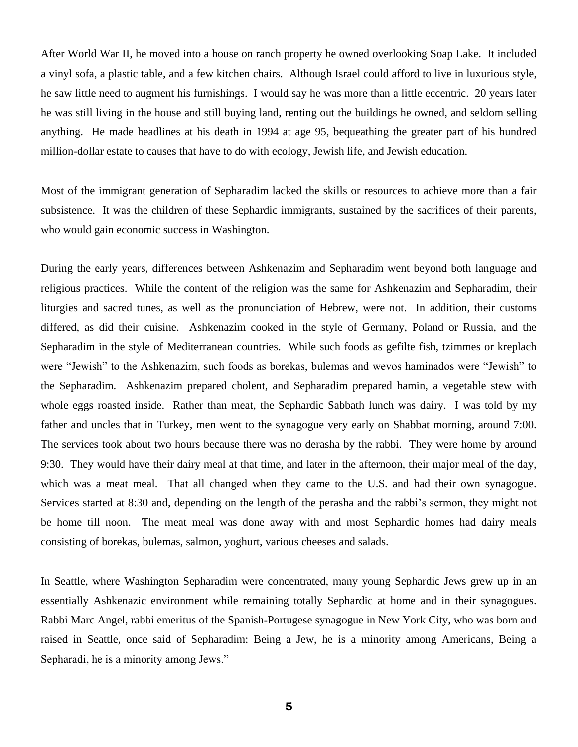After World War II, he moved into a house on ranch property he owned overlooking Soap Lake. It included a vinyl sofa, a plastic table, and a few kitchen chairs. Although Israel could afford to live in luxurious style, he saw little need to augment his furnishings. I would say he was more than a little eccentric. 20 years later he was still living in the house and still buying land, renting out the buildings he owned, and seldom selling anything. He made headlines at his death in 1994 at age 95, bequeathing the greater part of his hundred million-dollar estate to causes that have to do with ecology, Jewish life, and Jewish education.

Most of the immigrant generation of Sepharadim lacked the skills or resources to achieve more than a fair subsistence. It was the children of these Sephardic immigrants, sustained by the sacrifices of their parents, who would gain economic success in Washington.

During the early years, differences between Ashkenazim and Sepharadim went beyond both language and religious practices. While the content of the religion was the same for Ashkenazim and Sepharadim, their liturgies and sacred tunes, as well as the pronunciation of Hebrew, were not. In addition, their customs differed, as did their cuisine. Ashkenazim cooked in the style of Germany, Poland or Russia, and the Sepharadim in the style of Mediterranean countries. While such foods as gefilte fish, tzimmes or kreplach were "Jewish" to the Ashkenazim, such foods as borekas, bulemas and wevos haminados were "Jewish" to the Sepharadim. Ashkenazim prepared cholent, and Sepharadim prepared hamin, a vegetable stew with whole eggs roasted inside. Rather than meat, the Sephardic Sabbath lunch was dairy. I was told by my father and uncles that in Turkey, men went to the synagogue very early on Shabbat morning, around 7:00. The services took about two hours because there was no derasha by the rabbi. They were home by around 9:30. They would have their dairy meal at that time, and later in the afternoon, their major meal of the day, which was a meat meal. That all changed when they came to the U.S. and had their own synagogue. Services started at 8:30 and, depending on the length of the perasha and the rabbi"s sermon, they might not be home till noon. The meat meal was done away with and most Sephardic homes had dairy meals consisting of borekas, bulemas, salmon, yoghurt, various cheeses and salads.

In Seattle, where Washington Sepharadim were concentrated, many young Sephardic Jews grew up in an essentially Ashkenazic environment while remaining totally Sephardic at home and in their synagogues. Rabbi Marc Angel, rabbi emeritus of the Spanish-Portugese synagogue in New York City, who was born and raised in Seattle, once said of Sepharadim: Being a Jew, he is a minority among Americans, Being a Sepharadi, he is a minority among Jews."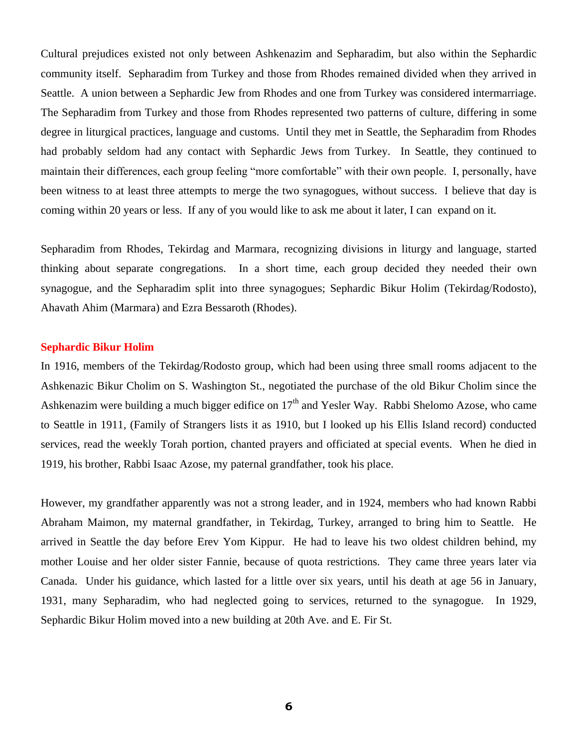Cultural prejudices existed not only between Ashkenazim and Sepharadim, but also within the Sephardic community itself. Sepharadim from Turkey and those from Rhodes remained divided when they arrived in Seattle. A union between a Sephardic Jew from Rhodes and one from Turkey was considered intermarriage. The Sepharadim from Turkey and those from Rhodes represented two patterns of culture, differing in some degree in liturgical practices, language and customs. Until they met in Seattle, the Sepharadim from Rhodes had probably seldom had any contact with Sephardic Jews from Turkey. In Seattle, they continued to maintain their differences, each group feeling "more comfortable" with their own people. I, personally, have been witness to at least three attempts to merge the two synagogues, without success. I believe that day is coming within 20 years or less. If any of you would like to ask me about it later, I can expand on it.

Sepharadim from Rhodes, Tekirdag and Marmara, recognizing divisions in liturgy and language, started thinking about separate congregations. In a short time, each group decided they needed their own synagogue, and the Sepharadim split into three synagogues; Sephardic Bikur Holim (Tekirdag/Rodosto), Ahavath Ahim (Marmara) and Ezra Bessaroth (Rhodes).

### **Sephardic Bikur Holim**

In 1916, members of the Tekirdag/Rodosto group, which had been using three small rooms adjacent to the Ashkenazic Bikur Cholim on S. Washington St., negotiated the purchase of the old Bikur Cholim since the Ashkenazim were building a much bigger edifice on  $17<sup>th</sup>$  and Yesler Way. Rabbi Shelomo Azose, who came to Seattle in 1911, (Family of Strangers lists it as 1910, but I looked up his Ellis Island record) conducted services, read the weekly Torah portion, chanted prayers and officiated at special events. When he died in 1919, his brother, Rabbi Isaac Azose, my paternal grandfather, took his place.

However, my grandfather apparently was not a strong leader, and in 1924, members who had known Rabbi Abraham Maimon, my maternal grandfather, in Tekirdag, Turkey, arranged to bring him to Seattle. He arrived in Seattle the day before Erev Yom Kippur. He had to leave his two oldest children behind, my mother Louise and her older sister Fannie, because of quota restrictions. They came three years later via Canada. Under his guidance, which lasted for a little over six years, until his death at age 56 in January, 1931, many Sepharadim, who had neglected going to services, returned to the synagogue. In 1929, Sephardic Bikur Holim moved into a new building at 20th Ave. and E. Fir St.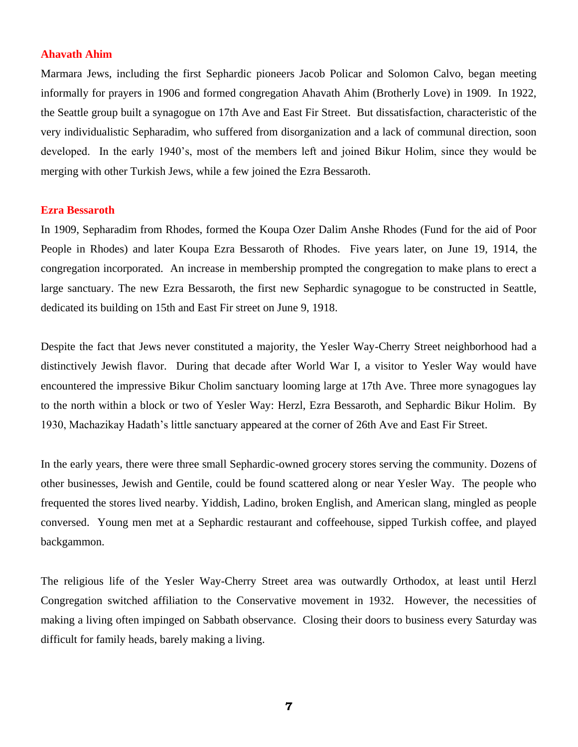### **Ahavath Ahim**

Marmara Jews, including the first Sephardic pioneers Jacob Policar and Solomon Calvo, began meeting informally for prayers in 1906 and formed congregation Ahavath Ahim (Brotherly Love) in 1909. In 1922, the Seattle group built a synagogue on 17th Ave and East Fir Street. But dissatisfaction, characteristic of the very individualistic Sepharadim, who suffered from disorganization and a lack of communal direction, soon developed. In the early 1940"s, most of the members left and joined Bikur Holim, since they would be merging with other Turkish Jews, while a few joined the Ezra Bessaroth.

# **Ezra Bessaroth**

In 1909, Sepharadim from Rhodes, formed the Koupa Ozer Dalim Anshe Rhodes (Fund for the aid of Poor People in Rhodes) and later Koupa Ezra Bessaroth of Rhodes. Five years later, on June 19, 1914, the congregation incorporated. An increase in membership prompted the congregation to make plans to erect a large sanctuary. The new Ezra Bessaroth, the first new Sephardic synagogue to be constructed in Seattle, dedicated its building on 15th and East Fir street on June 9, 1918.

Despite the fact that Jews never constituted a majority, the Yesler Way-Cherry Street neighborhood had a distinctively Jewish flavor. During that decade after World War I, a visitor to Yesler Way would have encountered the impressive Bikur Cholim sanctuary looming large at 17th Ave. Three more synagogues lay to the north within a block or two of Yesler Way: Herzl, Ezra Bessaroth, and Sephardic Bikur Holim. By 1930, Machazikay Hadath"s little sanctuary appeared at the corner of 26th Ave and East Fir Street.

In the early years, there were three small Sephardic-owned grocery stores serving the community. Dozens of other businesses, Jewish and Gentile, could be found scattered along or near Yesler Way. The people who frequented the stores lived nearby. Yiddish, Ladino, broken English, and American slang, mingled as people conversed. Young men met at a Sephardic restaurant and coffeehouse, sipped Turkish coffee, and played backgammon.

The religious life of the Yesler Way-Cherry Street area was outwardly Orthodox, at least until Herzl Congregation switched affiliation to the Conservative movement in 1932. However, the necessities of making a living often impinged on Sabbath observance. Closing their doors to business every Saturday was difficult for family heads, barely making a living.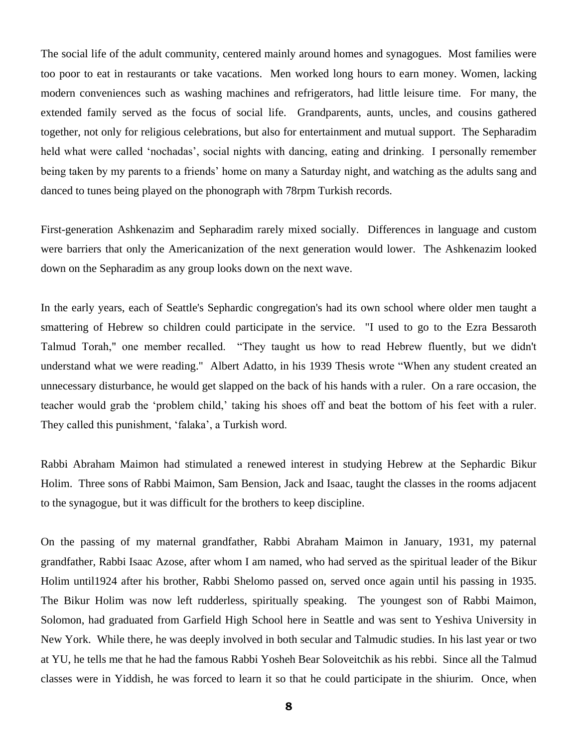The social life of the adult community, centered mainly around homes and synagogues. Most families were too poor to eat in restaurants or take vacations. Men worked long hours to earn money. Women, lacking modern conveniences such as washing machines and refrigerators, had little leisure time. For many, the extended family served as the focus of social life. Grandparents, aunts, uncles, and cousins gathered together, not only for religious celebrations, but also for entertainment and mutual support. The Sepharadim held what were called "nochadas", social nights with dancing, eating and drinking. I personally remember being taken by my parents to a friends' home on many a Saturday night, and watching as the adults sang and danced to tunes being played on the phonograph with 78rpm Turkish records.

First-generation Ashkenazim and Sepharadim rarely mixed socially. Differences in language and custom were barriers that only the Americanization of the next generation would lower. The Ashkenazim looked down on the Sepharadim as any group looks down on the next wave.

In the early years, each of Seattle's Sephardic congregation's had its own school where older men taught a smattering of Hebrew so children could participate in the service. "I used to go to the Ezra Bessaroth Talmud Torah," one member recalled. "They taught us how to read Hebrew fluently, but we didn't understand what we were reading." Albert Adatto, in his 1939 Thesis wrote "When any student created an unnecessary disturbance, he would get slapped on the back of his hands with a ruler. On a rare occasion, the teacher would grab the "problem child," taking his shoes off and beat the bottom of his feet with a ruler. They called this punishment, "falaka", a Turkish word.

Rabbi Abraham Maimon had stimulated a renewed interest in studying Hebrew at the Sephardic Bikur Holim. Three sons of Rabbi Maimon, Sam Bension, Jack and Isaac, taught the classes in the rooms adjacent to the synagogue, but it was difficult for the brothers to keep discipline.

On the passing of my maternal grandfather, Rabbi Abraham Maimon in January, 1931, my paternal grandfather, Rabbi Isaac Azose, after whom I am named, who had served as the spiritual leader of the Bikur Holim until1924 after his brother, Rabbi Shelomo passed on, served once again until his passing in 1935. The Bikur Holim was now left rudderless, spiritually speaking. The youngest son of Rabbi Maimon, Solomon, had graduated from Garfield High School here in Seattle and was sent to Yeshiva University in New York. While there, he was deeply involved in both secular and Talmudic studies. In his last year or two at YU, he tells me that he had the famous Rabbi Yosheh Bear Soloveitchik as his rebbi. Since all the Talmud classes were in Yiddish, he was forced to learn it so that he could participate in the shiurim. Once, when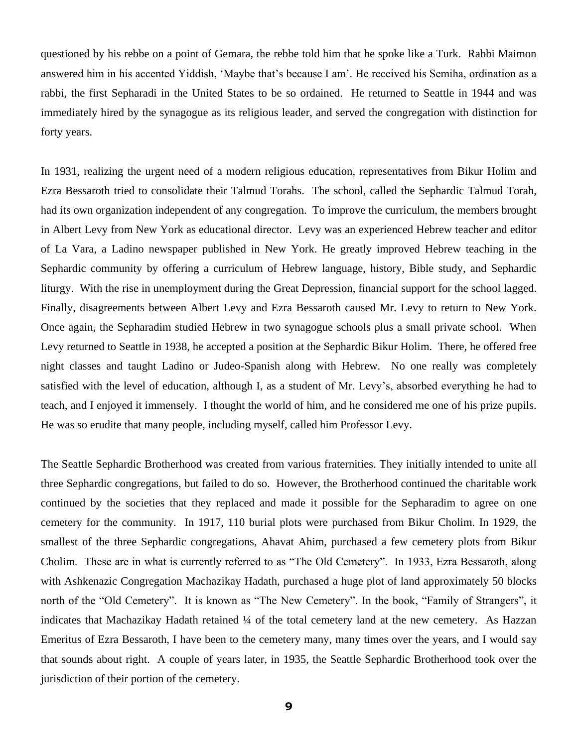questioned by his rebbe on a point of Gemara, the rebbe told him that he spoke like a Turk. Rabbi Maimon answered him in his accented Yiddish, "Maybe that"s because I am". He received his Semiha, ordination as a rabbi, the first Sepharadi in the United States to be so ordained. He returned to Seattle in 1944 and was immediately hired by the synagogue as its religious leader, and served the congregation with distinction for forty years.

In 1931, realizing the urgent need of a modern religious education, representatives from Bikur Holim and Ezra Bessaroth tried to consolidate their Talmud Torahs. The school, called the Sephardic Talmud Torah, had its own organization independent of any congregation. To improve the curriculum, the members brought in Albert Levy from New York as educational director. Levy was an experienced Hebrew teacher and editor of La Vara, a Ladino newspaper published in New York. He greatly improved Hebrew teaching in the Sephardic community by offering a curriculum of Hebrew language, history, Bible study, and Sephardic liturgy. With the rise in unemployment during the Great Depression, financial support for the school lagged. Finally, disagreements between Albert Levy and Ezra Bessaroth caused Mr. Levy to return to New York. Once again, the Sepharadim studied Hebrew in two synagogue schools plus a small private school. When Levy returned to Seattle in 1938, he accepted a position at the Sephardic Bikur Holim. There, he offered free night classes and taught Ladino or Judeo-Spanish along with Hebrew. No one really was completely satisfied with the level of education, although I, as a student of Mr. Levy"s, absorbed everything he had to teach, and I enjoyed it immensely. I thought the world of him, and he considered me one of his prize pupils. He was so erudite that many people, including myself, called him Professor Levy.

The Seattle Sephardic Brotherhood was created from various fraternities. They initially intended to unite all three Sephardic congregations, but failed to do so. However, the Brotherhood continued the charitable work continued by the societies that they replaced and made it possible for the Sepharadim to agree on one cemetery for the community. In 1917, 110 burial plots were purchased from Bikur Cholim. In 1929, the smallest of the three Sephardic congregations, Ahavat Ahim, purchased a few cemetery plots from Bikur Cholim. These are in what is currently referred to as "The Old Cemetery". In 1933, Ezra Bessaroth, along with Ashkenazic Congregation Machazikay Hadath, purchased a huge plot of land approximately 50 blocks north of the "Old Cemetery". It is known as "The New Cemetery". In the book, "Family of Strangers", it indicates that Machazikay Hadath retained ¼ of the total cemetery land at the new cemetery. As Hazzan Emeritus of Ezra Bessaroth, I have been to the cemetery many, many times over the years, and I would say that sounds about right. A couple of years later, in 1935, the Seattle Sephardic Brotherhood took over the jurisdiction of their portion of the cemetery.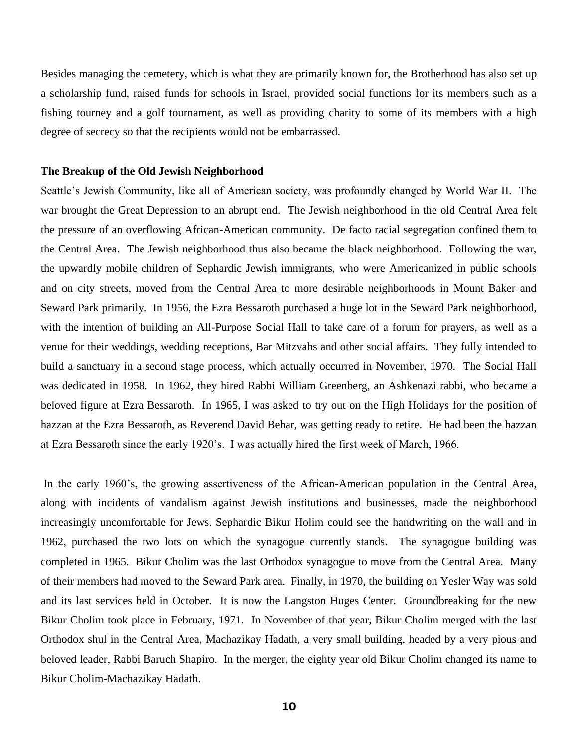Besides managing the cemetery, which is what they are primarily known for, the Brotherhood has also set up a scholarship fund, raised funds for schools in Israel, provided social functions for its members such as a fishing tourney and a golf tournament, as well as providing charity to some of its members with a high degree of secrecy so that the recipients would not be embarrassed.

#### **The Breakup of the Old Jewish Neighborhood**

Seattle's Jewish Community, like all of American society, was profoundly changed by World War II. The war brought the Great Depression to an abrupt end. The Jewish neighborhood in the old Central Area felt the pressure of an overflowing African-American community. De facto racial segregation confined them to the Central Area. The Jewish neighborhood thus also became the black neighborhood. Following the war, the upwardly mobile children of Sephardic Jewish immigrants, who were Americanized in public schools and on city streets, moved from the Central Area to more desirable neighborhoods in Mount Baker and Seward Park primarily. In 1956, the Ezra Bessaroth purchased a huge lot in the Seward Park neighborhood, with the intention of building an All-Purpose Social Hall to take care of a forum for prayers, as well as a venue for their weddings, wedding receptions, Bar Mitzvahs and other social affairs. They fully intended to build a sanctuary in a second stage process, which actually occurred in November, 1970. The Social Hall was dedicated in 1958. In 1962, they hired Rabbi William Greenberg, an Ashkenazi rabbi, who became a beloved figure at Ezra Bessaroth. In 1965, I was asked to try out on the High Holidays for the position of hazzan at the Ezra Bessaroth, as Reverend David Behar, was getting ready to retire. He had been the hazzan at Ezra Bessaroth since the early 1920"s. I was actually hired the first week of March, 1966.

In the early 1960"s, the growing assertiveness of the African-American population in the Central Area, along with incidents of vandalism against Jewish institutions and businesses, made the neighborhood increasingly uncomfortable for Jews. Sephardic Bikur Holim could see the handwriting on the wall and in 1962, purchased the two lots on which the synagogue currently stands. The synagogue building was completed in 1965. Bikur Cholim was the last Orthodox synagogue to move from the Central Area. Many of their members had moved to the Seward Park area. Finally, in 1970, the building on Yesler Way was sold and its last services held in October. It is now the Langston Huges Center. Groundbreaking for the new Bikur Cholim took place in February, 1971. In November of that year, Bikur Cholim merged with the last Orthodox shul in the Central Area, Machazikay Hadath, a very small building, headed by a very pious and beloved leader, Rabbi Baruch Shapiro. In the merger, the eighty year old Bikur Cholim changed its name to Bikur Cholim-Machazikay Hadath.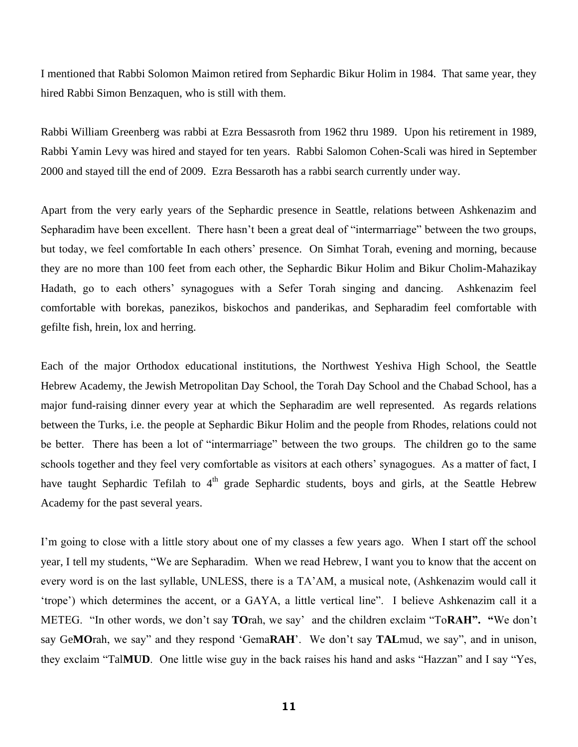I mentioned that Rabbi Solomon Maimon retired from Sephardic Bikur Holim in 1984. That same year, they hired Rabbi Simon Benzaquen, who is still with them.

Rabbi William Greenberg was rabbi at Ezra Bessasroth from 1962 thru 1989. Upon his retirement in 1989, Rabbi Yamin Levy was hired and stayed for ten years. Rabbi Salomon Cohen-Scali was hired in September 2000 and stayed till the end of 2009. Ezra Bessaroth has a rabbi search currently under way.

Apart from the very early years of the Sephardic presence in Seattle, relations between Ashkenazim and Sepharadim have been excellent. There hasn't been a great deal of "intermarriage" between the two groups, but today, we feel comfortable In each others' presence. On Simhat Torah, evening and morning, because they are no more than 100 feet from each other, the Sephardic Bikur Holim and Bikur Cholim-Mahazikay Hadath, go to each others' synagogues with a Sefer Torah singing and dancing. Ashkenazim feel comfortable with borekas, panezikos, biskochos and panderikas, and Sepharadim feel comfortable with gefilte fish, hrein, lox and herring.

Each of the major Orthodox educational institutions, the Northwest Yeshiva High School, the Seattle Hebrew Academy, the Jewish Metropolitan Day School, the Torah Day School and the Chabad School, has a major fund-raising dinner every year at which the Sepharadim are well represented. As regards relations between the Turks, i.e. the people at Sephardic Bikur Holim and the people from Rhodes, relations could not be better. There has been a lot of "intermarriage" between the two groups. The children go to the same schools together and they feel very comfortable as visitors at each others" synagogues. As a matter of fact, I have taught Sephardic Tefilah to  $4<sup>th</sup>$  grade Sephardic students, boys and girls, at the Seattle Hebrew Academy for the past several years.

I'm going to close with a little story about one of my classes a few years ago. When I start off the school year, I tell my students, "We are Sepharadim. When we read Hebrew, I want you to know that the accent on every word is on the last syllable, UNLESS, there is a TA"AM, a musical note, (Ashkenazim would call it 'trope') which determines the accent, or a GAYA, a little vertical line". I believe Ashkenazim call it a METEG. "In other words, we don"t say **TO**rah, we say" and the children exclaim "To**RAH". "**We don"t say Ge**MO**rah, we say" and they respond "Gema**RAH**". We don"t say **TAL**mud, we say", and in unison, they exclaim "Tal**MUD**. One little wise guy in the back raises his hand and asks "Hazzan" and I say "Yes,